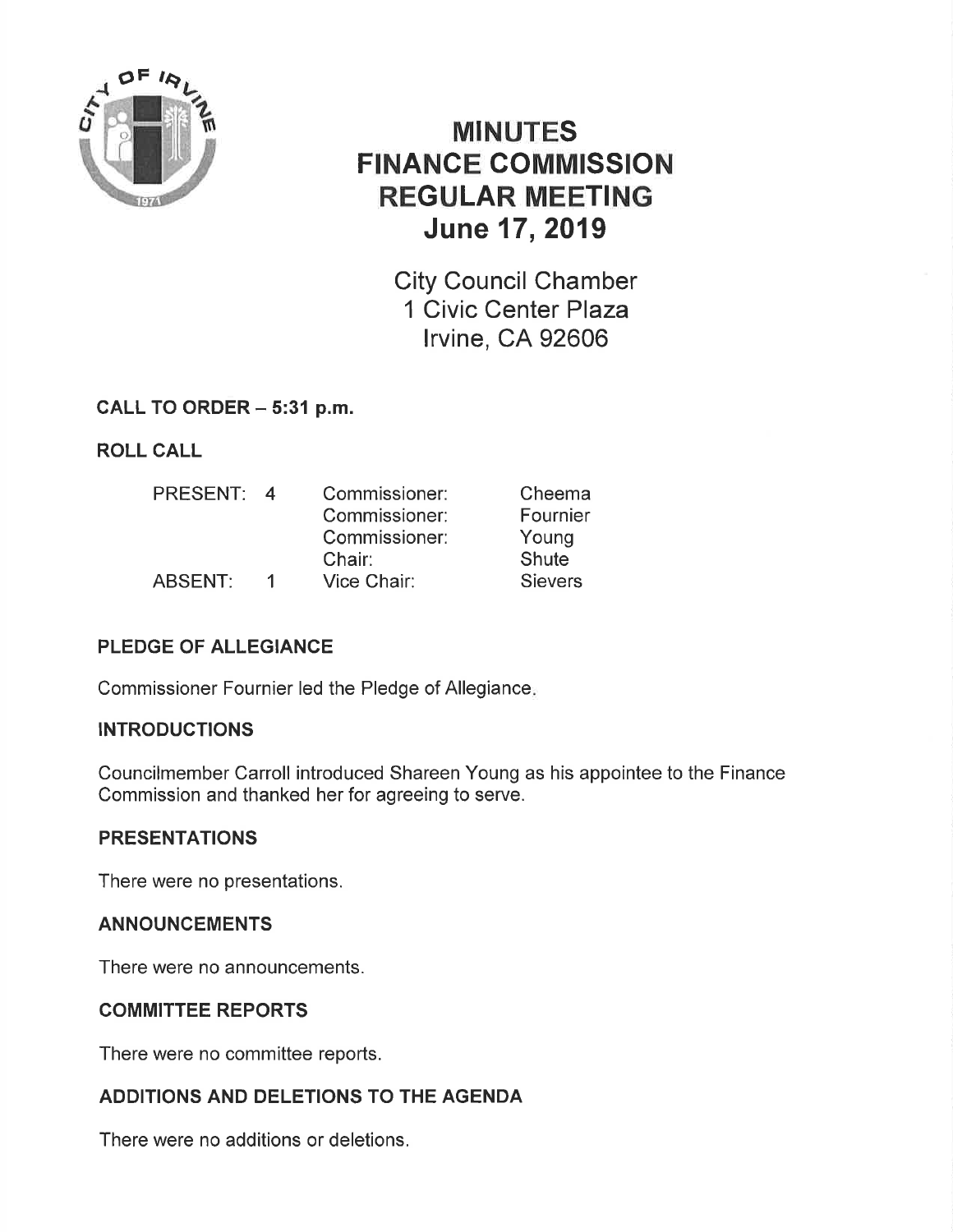

# MINUTES FINANCE GOMMISSION REGULAR MEETING June 17,2019

City Council Chamber 1 Civic Center Plaza lrvine, CA 92606

# CALL TO ORDER  $-5:31$  p.m.

ROLL CALL

| <b>PRESENT:</b> | $\overline{4}$ | Commissioner: | Cheema         |
|-----------------|----------------|---------------|----------------|
|                 |                | Commissioner: | Fournier       |
|                 |                | Commissioner: | Young          |
|                 |                | Chair:        | Shute          |
| ABSENT:         |                | Vice Chair:   | <b>Sievers</b> |

# PLEDGE OF ALLEGIANCE

Commissioner Fournier led the Pledge of Allegiance

# INTRODUCTIONS

Councilmember Carroll introduced Shareen Young as his appointee to the Finance Commission and thanked her for agreeing to serve.

# PRESENTATIONS

There were no presentations.

# ANNOUNCEMENTS

There were no announcements.

# COMMITTEE REPORTS

There were no committee reports.

# ADDITIONS AND DELETIONS TO THE AGENDA

There were no additions or deletions.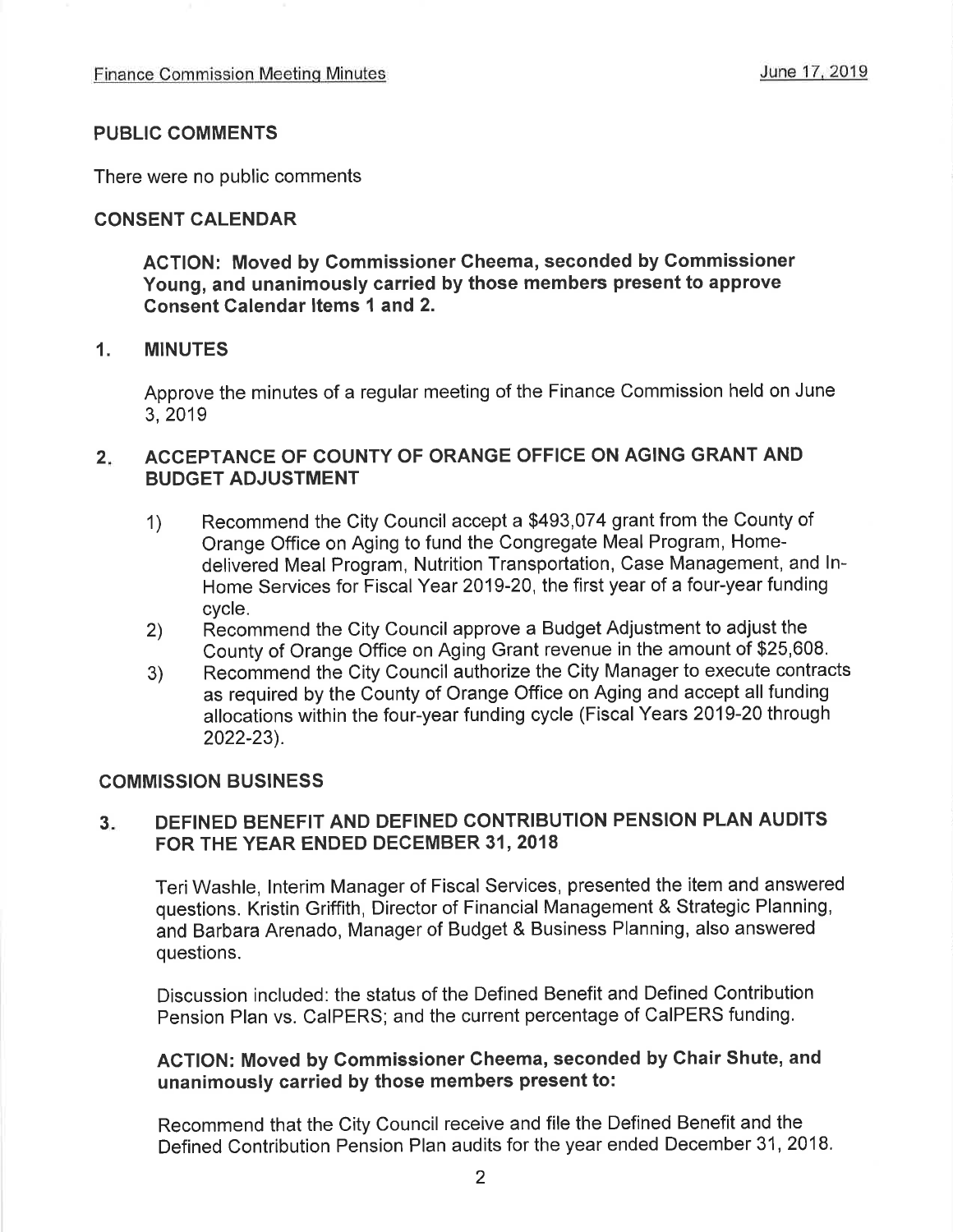#### PUBLIC COMMENTS

There were no public comments

#### CONSENT CALENDAR

ACTION: Moved by Commissioner Cheema, seconded by Commissioner Young, and unanimously carried by those members present to approve Consent Calendar ltems 1 and 2.

#### 1. MINUTES

Approve the minutes of a regular meeting of the Finance Commission held on June 3,2019

### 2. ACCEPTANCE OF COUNTY OF ORANGE OFFICE ON AGING GRANT AND BUDGET ADJUSTMENT

- 1) Recommend the City Council accept a \$493,074 grant from the County of Orange Office on Aging to fund the Congregate Meal Program, Homedelivered Meal Program, Nutrition Transportation, Case Management, and ln-Home Services for Fiscal Year 2019-20, the first year of a four-year funding cycle.
- Recommend the City Council approve a Budget Adjustment to adjust the County of Orange Office on Aging Grant revenue in the amount of \$25,608. 2)
- Recommend the City Council authorize the City Manager to execute contracts as required by the County of Orange Office on Aging and accept all funding allocations within the four-year funding cycle (Fiscal Years 2019-20 through 2022-23). 3)

#### COMMISSION BUSINESS

#### DEFINED BENEFIT AND DEFINED CONTRIBUTION PENSION PLAN AUDITS FOR THE YEAR ENDED DECEMBER 31, 2018  $3<sub>1</sub>$

Teri Washle, Interim Manager of Fiscal Services, presented the item and answered questions. Kristin Griffith, Director of Financial Management & Strategic Planning, and Barbara Arenado, Manager of Budget & Business Planning, also answered questions.

Discussion included: the status of the Defined Benefit and Defined Contribution Pension Plan vs. CaIPERS; and the current percentage of CaIPERS funding.

# AGTION: Moved by Commissioner Cheema, seconded by Chair Shute, and unanimously carried by those members present to:

Recommend that the City Council receive and file the Defined Benefit and the Defined Contribution Pension Plan audits for the year ended December 31, 2018.